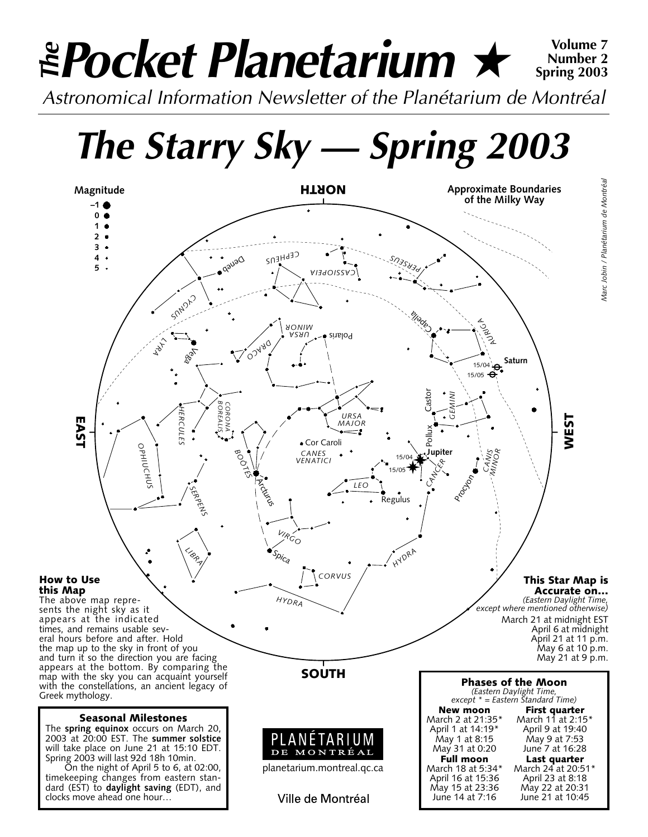# *Pocket Planetarium* ★ **Volume 7** *Astronomical Information Newsletter of the Planétarium de Montréal The* **Number 2 Spring 2003**

*The Starry Sky — Spring 2003*